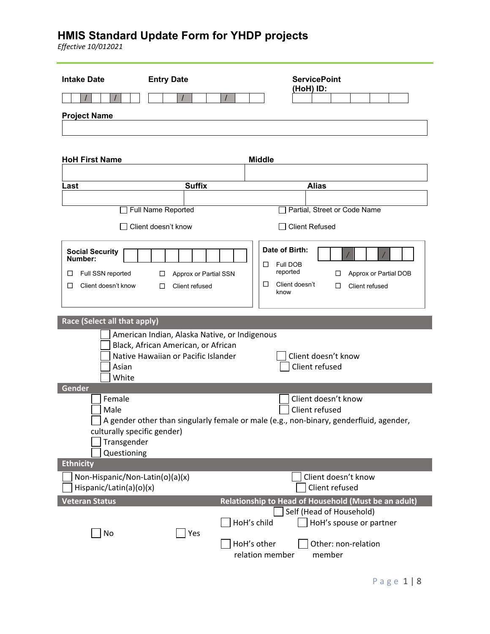| <b>Intake Date</b>                | <b>Entry Date</b>                             | <b>ServicePoint</b>                                                                    |
|-----------------------------------|-----------------------------------------------|----------------------------------------------------------------------------------------|
|                                   | $\prime$                                      | (HoH) ID:                                                                              |
| <b>Project Name</b>               |                                               |                                                                                        |
|                                   |                                               |                                                                                        |
| <b>HoH First Name</b>             |                                               | <b>Middle</b>                                                                          |
|                                   |                                               |                                                                                        |
| Last                              | <b>Suffix</b>                                 | <b>Alias</b>                                                                           |
|                                   | Full Name Reported                            | Partial, Street or Code Name                                                           |
|                                   | Client doesn't know                           | <b>Client Refused</b>                                                                  |
|                                   |                                               |                                                                                        |
| <b>Social Security</b><br>Number: |                                               | Date of Birth:                                                                         |
| Full SSN reported<br>□            | Approx or Partial SSN<br>□                    | Full DOB<br>ப<br>reported<br>Approx or Partial DOB<br>□                                |
| Client doesn't know<br>□          | □<br>Client refused                           | Client doesn't<br>□<br>Client refused<br>□                                             |
|                                   |                                               | know                                                                                   |
| Race (Select all that apply)      |                                               |                                                                                        |
|                                   | American Indian, Alaska Native, or Indigenous |                                                                                        |
|                                   | Black, African American, or African           |                                                                                        |
| Asian                             | Native Hawaiian or Pacific Islander           | Client doesn't know<br>Client refused                                                  |
| White                             |                                               |                                                                                        |
| Gender<br>Female                  |                                               | Client doesn't know                                                                    |
| Male                              |                                               | Client refused                                                                         |
| culturally specific gender)       |                                               | A gender other than singularly female or male (e.g., non-binary, genderfluid, agender, |
| Transgender                       |                                               |                                                                                        |
| Questioning<br><b>Ethnicity</b>   |                                               |                                                                                        |
| Non-Hispanic/Non-Latin(o)(a)(x)   |                                               | Client doesn't know                                                                    |
| Hispanic/Latin(a)(o)(x)           |                                               | Client refused                                                                         |
| <b>Veteran Status</b>             |                                               | Relationship to Head of Household (Must be an adult)                                   |
|                                   |                                               | Self (Head of Household)<br>HoH's child<br>HoH's spouse or partner                     |
| No                                | Yes                                           |                                                                                        |
|                                   |                                               | HoH's other<br>Other: non-relation<br>relation member<br>member                        |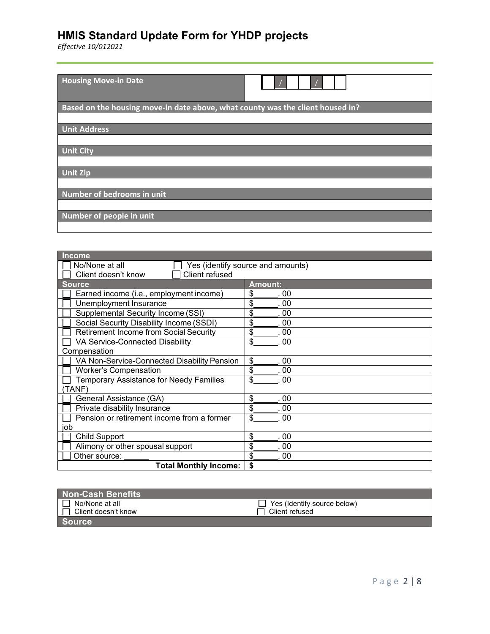| <b>Housing Move-in Date</b>                                                    |
|--------------------------------------------------------------------------------|
| Based on the housing move-in date above, what county was the client housed in? |
|                                                                                |
| <b>Unit Address</b>                                                            |
|                                                                                |
| <b>Unit City</b>                                                               |
|                                                                                |
| <b>Unit Zip</b>                                                                |
|                                                                                |
| Number of bedrooms in unit                                                     |
|                                                                                |
| Number of people in unit                                                       |
|                                                                                |

| <b>Income</b>                                  |                                   |
|------------------------------------------------|-----------------------------------|
| No/None at all                                 | Yes (identify source and amounts) |
| Client refused<br>Client doesn't know          |                                   |
| <b>Source</b>                                  | <b>Amount:</b>                    |
| Earned income (i.e., employment income)        | \$<br>. 00                        |
| Unemployment Insurance                         | \$<br>.00                         |
| Supplemental Security Income (SSI)             | \$<br>. 00                        |
| Social Security Disability Income (SSDI)       | \$<br>. 00                        |
| <b>Retirement Income from Social Security</b>  | \$<br>. 00                        |
| VA Service-Connected Disability                | \$<br>. 00                        |
| Compensation                                   |                                   |
| VA Non-Service-Connected Disability Pension    | \$<br>. 00                        |
| <b>Worker's Compensation</b>                   | \$<br>. 00                        |
| <b>Temporary Assistance for Needy Families</b> | \$<br>00                          |
| TANF)                                          |                                   |
| General Assistance (GA)                        | \$<br>00                          |
| Private disability Insurance                   | \$<br>00                          |
| Pension or retirement income from a former     | \$<br>.00                         |
| job                                            |                                   |
| <b>Child Support</b>                           | \$<br>.00                         |
| Alimony or other spousal support               | \$<br>. 00                        |
| Other source:                                  | \$<br>. 00                        |
| <b>Total Monthly Income:</b>                   | \$                                |

| <b>Non-Cash Benefits</b> |                             |
|--------------------------|-----------------------------|
| No/None at all           | Yes (Identify source below) |
| ∟ Client doesn't know    | Client refused              |
| <b>Source</b>            |                             |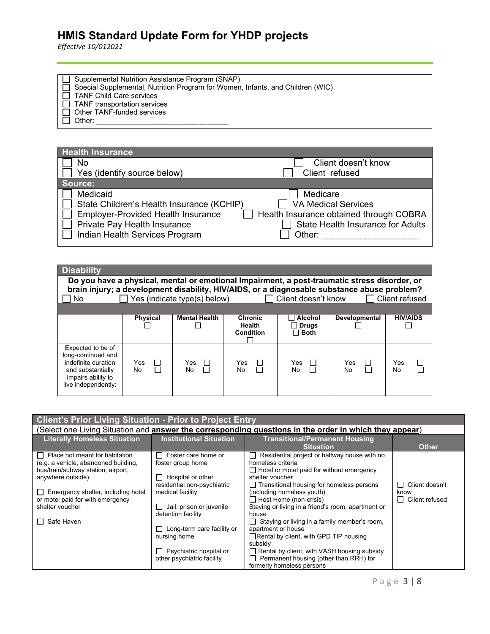*Effective 10/012021*

 Supplemental Nutrition Assistance Program (SNAP) Special Supplemental, Nutrition Program for Women, Infants, and Children (WIC) TANF Child Care services TANF transportation services Other TANF-funded services Other: \_\_\_\_\_\_\_\_\_\_\_\_\_\_\_\_\_\_\_\_\_\_\_\_\_\_\_\_\_\_\_\_\_

| <b>Health Insurance</b>                                                                                                                                              |                                                                                                                                         |
|----------------------------------------------------------------------------------------------------------------------------------------------------------------------|-----------------------------------------------------------------------------------------------------------------------------------------|
| No                                                                                                                                                                   | Client doesn't know                                                                                                                     |
| Yes (identify source below)                                                                                                                                          | Client refused                                                                                                                          |
| Source:                                                                                                                                                              |                                                                                                                                         |
| Medicaid<br>State Children's Health Insurance (KCHIP)<br><b>Employer-Provided Health Insurance</b><br>Private Pay Health Insurance<br>Indian Health Services Program | Medicare<br><b>VA Medical Services</b><br>Health Insurance obtained through COBRA<br><b>State Health Insurance for Adults</b><br>Other: |

| <b>Disability</b><br>Do you have a physical, mental or emotional Impairment, a post-traumatic stress disorder, or<br>brain injury; a development disability, HIV/AIDS, or a diagnosable substance abuse problem?<br>No. |                             | Yes (indicate type(s) below) |                                              | $\Box$ Client doesn't know                    |                       | $\Box$ Client refused         |
|-------------------------------------------------------------------------------------------------------------------------------------------------------------------------------------------------------------------------|-----------------------------|------------------------------|----------------------------------------------|-----------------------------------------------|-----------------------|-------------------------------|
|                                                                                                                                                                                                                         | <b>Physical</b>             | <b>Mental Health</b>         | <b>Chronic</b><br><b>Health</b><br>Condition | <b>Alcohol</b><br><b>Drugs</b><br>$\Box$ Both | Developmental         | <b>HIV/AIDS</b>               |
| Expected to be of<br>long-continued and<br>indefinite duration<br>and substantially<br>impairs ability to<br>live independently:                                                                                        | <b>Yes</b><br>□<br>П<br>No. | Yes<br>$\mathbf{I}$<br>No.   | Yes<br>$\Box$<br>П<br>No.                    | Yes<br>$\mathbf{L}$<br>No                     | <b>Yes</b><br>П<br>No | $\Box$<br>Yes<br>$\Box$<br>No |

|                                                | <b>Client's Prior Living Situation - Prior to Project Entry</b> |                                                                                                        |                           |  |  |
|------------------------------------------------|-----------------------------------------------------------------|--------------------------------------------------------------------------------------------------------|---------------------------|--|--|
|                                                |                                                                 | (Select one Living Situation and answer the corresponding questions in the order in which they appear) |                           |  |  |
| <b>Literally Homeless Situation</b>            | <b>Institutional Situation</b>                                  | <b>Transitional/Permanent Housing</b>                                                                  |                           |  |  |
|                                                |                                                                 | <b>Situation</b>                                                                                       | <b>Other</b>              |  |  |
| Place not meant for habitation<br>$\mathbf{L}$ | Foster care home or<br>$\blacksquare$                           | Residential project or halfway house with no<br>$\perp$                                                |                           |  |  |
| (e.g. a vehicle, abandoned building,           | foster group home                                               | homeless criteria                                                                                      |                           |  |  |
| bus/train/subway station, airport,             |                                                                 | $\Box$ Hotel or motel paid for without emergency                                                       |                           |  |  |
| anywhere outside).                             | $\Box$ Hospital or other                                        | shelter voucher                                                                                        |                           |  |  |
|                                                | residential non-psychiatric                                     | $\Box$ Transitional housing for homeless persons                                                       | Client doesn't<br>$\perp$ |  |  |
| Emergency shelter, including hotel             | medical facility                                                | (including homeless youth)                                                                             | know                      |  |  |
| or motel paid for with emergency               |                                                                 | $\Box$ Host Home (non-crisis)                                                                          | $\Box$ Client refused     |  |  |
| shelter voucher                                | $\Box$ Jail, prison or juvenile                                 | Staying or living in a friend's room, apartment or                                                     |                           |  |  |
|                                                | detention facility                                              | house                                                                                                  |                           |  |  |
| Safe Haven                                     |                                                                 | $\Box$ Staying or living in a family member's room,                                                    |                           |  |  |
|                                                | $\Box$ Long-term care facility or                               | apartment or house                                                                                     |                           |  |  |
|                                                | nursing home                                                    | $\Box$ Rental by client, with GPD TIP housing                                                          |                           |  |  |
|                                                |                                                                 | subsidy                                                                                                |                           |  |  |
|                                                | $\Box$ Psychiatric hospital or                                  | Rental by client, with VASH housing subsidy                                                            |                           |  |  |
|                                                | other psychiatric facility                                      | Permanent housing (other than RRH) for                                                                 |                           |  |  |
|                                                |                                                                 | formerly homeless persons                                                                              |                           |  |  |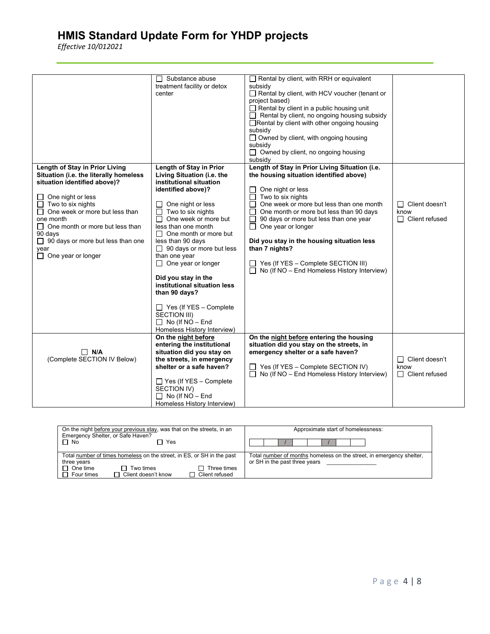|                                                                                                                                                                                                                                                                                                                                                  | $\Box$ Substance abuse<br>treatment facility or detox<br>center                                                                                                                                                                                                                                                                                                                                                                                                                                                | Rental by client, with RRH or equivalent<br>subsidy<br>Rental by client, with HCV voucher (tenant or<br>project based)<br>$\Box$ Rental by client in a public housing unit<br>Rental by client, no ongoing housing subsidy<br>□Rental by client with other ongoing housing<br>subsidy<br>$\Box$ Owned by client, with ongoing housing<br>subsidy<br>$\Box$ Owned by client, no ongoing housing<br>subsidy                                                                       |                                                           |
|--------------------------------------------------------------------------------------------------------------------------------------------------------------------------------------------------------------------------------------------------------------------------------------------------------------------------------------------------|----------------------------------------------------------------------------------------------------------------------------------------------------------------------------------------------------------------------------------------------------------------------------------------------------------------------------------------------------------------------------------------------------------------------------------------------------------------------------------------------------------------|---------------------------------------------------------------------------------------------------------------------------------------------------------------------------------------------------------------------------------------------------------------------------------------------------------------------------------------------------------------------------------------------------------------------------------------------------------------------------------|-----------------------------------------------------------|
| Length of Stay in Prior Living<br>Situation (i.e. the literally homeless<br>situation identified above)?<br>One night or less<br>Two to six nights<br>П<br>One week or more but less than<br>one month<br>One month or more but less than<br>$\perp$<br>90 days<br>$\Box$ 90 days or more but less than one<br>year<br>$\Box$ One year or longer | Length of Stay in Prior<br>Living Situation (i.e. the<br>institutional situation<br>identified above)?<br>One night or less<br>$\Box$<br>Two to six nights<br>П<br>$\Box$ One week or more but<br>less than one month<br>$\Box$ One month or more but<br>less than 90 days<br>$\Box$ 90 days or more but less<br>than one year<br>$\Box$ One year or longer<br>Did you stay in the<br>institutional situation less<br>than 90 days?<br>$\Box$ Yes (If YES - Complete<br>SECTION III)<br>$\Box$ No (If NO - End | Length of Stay in Prior Living Situation (i.e.<br>the housing situation identified above)<br>One night or less<br>Two to six nights<br>One week or more but less than one month<br>$\Box$<br>One month or more but less than 90 days<br>90 days or more but less than one year<br>□<br>One year or longer<br>$\perp$<br>Did you stay in the housing situation less<br>than 7 nights?<br>Yes (If YES - Complete SECTION III)<br>No (If NO - End Homeless History Interview)<br>П | Client doesn't<br>$\Box$<br>know<br>$\Box$ Client refused |
| $\Box$ N/A<br>(Complete SECTION IV Below)                                                                                                                                                                                                                                                                                                        | Homeless History Interview)<br>On the night before<br>entering the institutional<br>situation did you stay on<br>the streets, in emergency<br>shelter or a safe haven?<br>$\Box$ Yes (If YES – Complete<br>SECTION IV)<br>$\Box$ No (If NO - End<br>Homeless History Interview)                                                                                                                                                                                                                                | On the night before entering the housing<br>situation did you stay on the streets, in<br>emergency shelter or a safe haven?<br>Yes (If YES - Complete SECTION IV)<br>No (If NO - End Homeless History Interview)<br>Ш                                                                                                                                                                                                                                                           | П<br>Client doesn't<br>know<br>$\Box$ Client refused      |

| On the night before your previous stay, was that on the streets, in an<br>Emergency Shelter, or Safe Haven? | Approximate start of homelessness:                                   |
|-------------------------------------------------------------------------------------------------------------|----------------------------------------------------------------------|
| $\Box$ No<br>Yes                                                                                            |                                                                      |
| Total number of times homeless on the street, in ES, or SH in the past                                      | Total number of months homeless on the street, in emergency shelter, |
| three years                                                                                                 | or SH in the past three years                                        |
| $\Box$ One time<br>Two times<br>Three times<br>$\mathbf{L}$                                                 |                                                                      |
| □ Client doesn't know<br>$\Box$ Four times<br>$\sqcap$ Client refused                                       |                                                                      |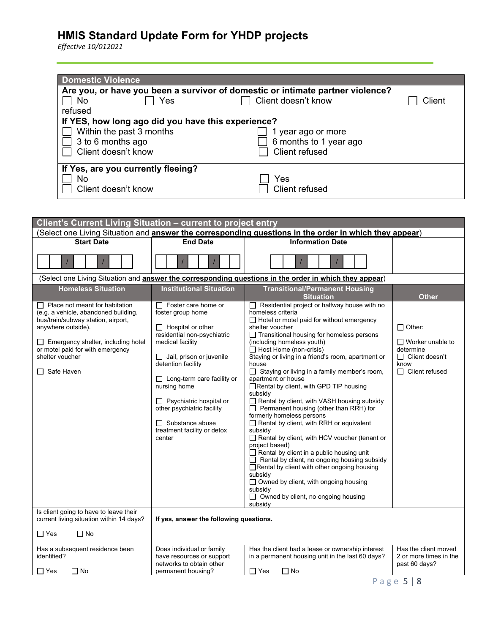| <b>Domestic Violence</b>                                                                                                                                                                                                                               |                                                                                                                                                                                                                                                                                                                                                                          |                                                                                                                                                                                                                                                                                                                                                                                                                                                                                                                                                                                                                                                                                                                                                                                                                                                                                                                                                                                                          |                                                                                                                 |
|--------------------------------------------------------------------------------------------------------------------------------------------------------------------------------------------------------------------------------------------------------|--------------------------------------------------------------------------------------------------------------------------------------------------------------------------------------------------------------------------------------------------------------------------------------------------------------------------------------------------------------------------|----------------------------------------------------------------------------------------------------------------------------------------------------------------------------------------------------------------------------------------------------------------------------------------------------------------------------------------------------------------------------------------------------------------------------------------------------------------------------------------------------------------------------------------------------------------------------------------------------------------------------------------------------------------------------------------------------------------------------------------------------------------------------------------------------------------------------------------------------------------------------------------------------------------------------------------------------------------------------------------------------------|-----------------------------------------------------------------------------------------------------------------|
| No<br>refused                                                                                                                                                                                                                                          | Yes                                                                                                                                                                                                                                                                                                                                                                      | Are you, or have you been a survivor of domestic or intimate partner violence?<br>Client doesn't know                                                                                                                                                                                                                                                                                                                                                                                                                                                                                                                                                                                                                                                                                                                                                                                                                                                                                                    | Client                                                                                                          |
| Within the past 3 months<br>3 to 6 months ago<br>Client doesn't know                                                                                                                                                                                   | If YES, how long ago did you have this experience?                                                                                                                                                                                                                                                                                                                       | 1 year ago or more<br>6 months to 1 year ago<br><b>Client refused</b>                                                                                                                                                                                                                                                                                                                                                                                                                                                                                                                                                                                                                                                                                                                                                                                                                                                                                                                                    |                                                                                                                 |
| If Yes, are you currently fleeing?<br>No<br>Client doesn't know                                                                                                                                                                                        |                                                                                                                                                                                                                                                                                                                                                                          | Yes<br><b>Client refused</b>                                                                                                                                                                                                                                                                                                                                                                                                                                                                                                                                                                                                                                                                                                                                                                                                                                                                                                                                                                             |                                                                                                                 |
|                                                                                                                                                                                                                                                        |                                                                                                                                                                                                                                                                                                                                                                          |                                                                                                                                                                                                                                                                                                                                                                                                                                                                                                                                                                                                                                                                                                                                                                                                                                                                                                                                                                                                          |                                                                                                                 |
| Client's Current Living Situation - current to project entry                                                                                                                                                                                           |                                                                                                                                                                                                                                                                                                                                                                          |                                                                                                                                                                                                                                                                                                                                                                                                                                                                                                                                                                                                                                                                                                                                                                                                                                                                                                                                                                                                          |                                                                                                                 |
| <b>Start Date</b>                                                                                                                                                                                                                                      | <b>End Date</b>                                                                                                                                                                                                                                                                                                                                                          | (Select one Living Situation and <b>answer the corresponding questions in the order in which they appear</b> )<br><b>Information Date</b>                                                                                                                                                                                                                                                                                                                                                                                                                                                                                                                                                                                                                                                                                                                                                                                                                                                                |                                                                                                                 |
|                                                                                                                                                                                                                                                        |                                                                                                                                                                                                                                                                                                                                                                          |                                                                                                                                                                                                                                                                                                                                                                                                                                                                                                                                                                                                                                                                                                                                                                                                                                                                                                                                                                                                          |                                                                                                                 |
|                                                                                                                                                                                                                                                        |                                                                                                                                                                                                                                                                                                                                                                          | (Select one Living Situation and answer the corresponding questions in the order in which they appear)                                                                                                                                                                                                                                                                                                                                                                                                                                                                                                                                                                                                                                                                                                                                                                                                                                                                                                   |                                                                                                                 |
| <b>Homeless Situation</b>                                                                                                                                                                                                                              | <b>Institutional Situation</b>                                                                                                                                                                                                                                                                                                                                           | <b>Transitional/Permanent Housing</b><br><b>Situation</b>                                                                                                                                                                                                                                                                                                                                                                                                                                                                                                                                                                                                                                                                                                                                                                                                                                                                                                                                                | Other                                                                                                           |
| Place not meant for habitation<br>(e.g. a vehicle, abandoned building,<br>bus/train/subway station, airport,<br>anywhere outside).<br>$\Box$ Emergency shelter, including hotel<br>or motel paid for with emergency<br>shelter voucher<br>□ Safe Haven | Foster care home or<br>foster group home<br>$\Box$ Hospital or other<br>residential non-psychiatric<br>medical facility<br>$\Box$ Jail, prison or juvenile<br>detention facility<br>$\Box$ Long-term care facility or<br>nursing home<br>$\Box$ Psychiatric hospital or<br>other psychiatric facility<br>$\Box$ Substance abuse<br>treatment facility or detox<br>center | Residential project or halfway house with no<br>homeless criteria<br>$\Box$ Hotel or motel paid for without emergency<br>shelter voucher<br>$\Box$ Transitional housing for homeless persons<br>(including homeless youth)<br>$\Box$ Host Home (non-crisis)<br>Staying or living in a friend's room, apartment or<br>house<br>$\Box$ Staying or living in a family member's room,<br>apartment or house<br>Rental by client, with GPD TIP housing<br>subsidy<br>Rental by client, with VASH housing subsidy<br>$\Box$ Permanent housing (other than RRH) for<br>formerly homeless persons<br>Rental by client, with RRH or equivalent<br>subsidy<br>Rental by client, with HCV voucher (tenant or<br>project based)<br>$\Box$ Rental by client in a public housing unit<br>$\Box$ Rental by client, no ongoing housing subsidy<br>□Rental by client with other ongoing housing<br>subsidy<br>$\Box$ Owned by client, with ongoing housing<br>subsidy<br>□ Owned by client, no ongoing housing<br>subsidy | $\Box$ Other:<br>$\Box$ Worker unable to<br>determine<br>$\Box$ Client doesn't<br>know<br>$\Box$ Client refused |
| Is client going to have to leave their<br>current living situation within 14 days?                                                                                                                                                                     | If yes, answer the following questions.                                                                                                                                                                                                                                                                                                                                  |                                                                                                                                                                                                                                                                                                                                                                                                                                                                                                                                                                                                                                                                                                                                                                                                                                                                                                                                                                                                          |                                                                                                                 |
| $\Box$ Yes<br>$\Box$ No                                                                                                                                                                                                                                |                                                                                                                                                                                                                                                                                                                                                                          |                                                                                                                                                                                                                                                                                                                                                                                                                                                                                                                                                                                                                                                                                                                                                                                                                                                                                                                                                                                                          |                                                                                                                 |
| Has a subsequent residence been<br>identified?<br>$\Box$ Yes<br>$\Box$ No                                                                                                                                                                              | Does individual or family<br>have resources or support<br>networks to obtain other<br>permanent housing?                                                                                                                                                                                                                                                                 | Has the client had a lease or ownership interest<br>in a permanent housing unit in the last 60 days?<br>$\Box$ Yes<br>$\Box$ No                                                                                                                                                                                                                                                                                                                                                                                                                                                                                                                                                                                                                                                                                                                                                                                                                                                                          | Has the client moved<br>2 or more times in the<br>past 60 days?<br>$F \cup Q$                                   |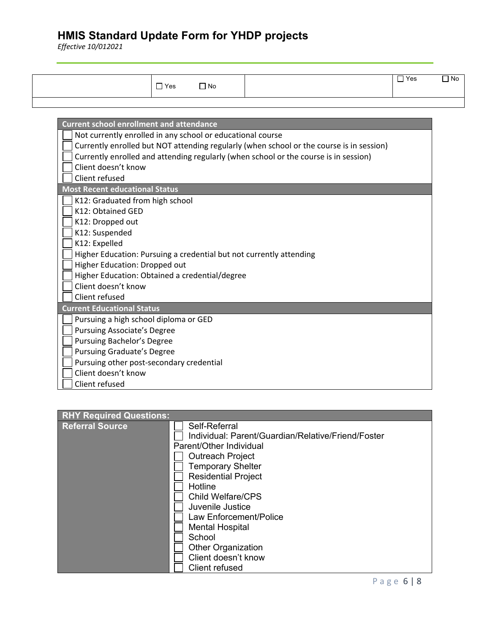| $\Box$ Yes | $\Box$ No | $\overline{\mathsf{Y}}$ es<br>نا آ | $\Box$ No |
|------------|-----------|------------------------------------|-----------|
|            |           |                                    |           |

| <b>Current school enrollment and attendance</b>                                          |
|------------------------------------------------------------------------------------------|
| Not currently enrolled in any school or educational course                               |
| Currently enrolled but NOT attending regularly (when school or the course is in session) |
| Currently enrolled and attending regularly (when school or the course is in session)     |
| Client doesn't know                                                                      |
| Client refused                                                                           |
| <b>Most Recent educational Status</b>                                                    |
| K12: Graduated from high school                                                          |
| K12: Obtained GED                                                                        |
| K12: Dropped out                                                                         |
| K12: Suspended                                                                           |
| K12: Expelled                                                                            |
| Higher Education: Pursuing a credential but not currently attending                      |
| Higher Education: Dropped out                                                            |
| Higher Education: Obtained a credential/degree                                           |
| Client doesn't know                                                                      |
| Client refused                                                                           |
| <b>Current Educational Status</b>                                                        |
| Pursuing a high school diploma or GED                                                    |
| <b>Pursuing Associate's Degree</b>                                                       |
| <b>Pursuing Bachelor's Degree</b>                                                        |
| <b>Pursuing Graduate's Degree</b>                                                        |
| Pursuing other post-secondary credential                                                 |
| Client doesn't know                                                                      |
| Client refused                                                                           |

| <b>RHY Required Questions:</b> |                                                    |
|--------------------------------|----------------------------------------------------|
| <b>Referral Source</b>         | Self-Referral                                      |
|                                | Individual: Parent/Guardian/Relative/Friend/Foster |
|                                | Parent/Other Individual                            |
|                                | <b>Outreach Project</b>                            |
|                                | <b>Temporary Shelter</b>                           |
|                                | <b>Residential Project</b>                         |
|                                | Hotline                                            |
|                                | <b>Child Welfare/CPS</b>                           |
|                                | Juvenile Justice                                   |
|                                | Law Enforcement/Police                             |
|                                | <b>Mental Hospital</b>                             |
|                                | School                                             |
|                                | <b>Other Organization</b>                          |
|                                | Client doesn't know                                |
|                                | Client refused                                     |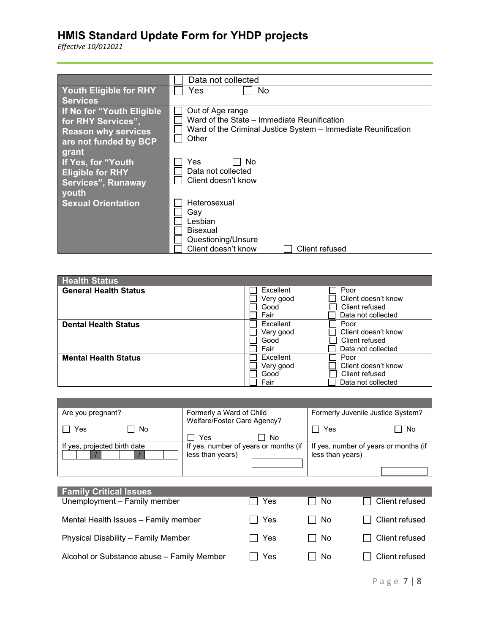| Data not collected                                                                                                                        |
|-------------------------------------------------------------------------------------------------------------------------------------------|
| No.<br>Yes                                                                                                                                |
|                                                                                                                                           |
| Out of Age range<br>Ward of the State – Immediate Reunification<br>Ward of the Criminal Justice System - Immediate Reunification<br>Other |
| Yes<br>No                                                                                                                                 |
| Data not collected                                                                                                                        |
| Client doesn't know                                                                                                                       |
|                                                                                                                                           |
|                                                                                                                                           |
| Heterosexual                                                                                                                              |
| Gav                                                                                                                                       |
| Lesbian                                                                                                                                   |
| <b>Bisexual</b>                                                                                                                           |
| Questioning/Unsure                                                                                                                        |
| Client doesn't know<br>Client refused                                                                                                     |
|                                                                                                                                           |

| <b>Health Status</b>         |           |                     |
|------------------------------|-----------|---------------------|
| <b>General Health Status</b> | Excellent | Poor                |
|                              | Very good | Client doesn't know |
|                              | Good      | Client refused      |
|                              | Fair      | Data not collected  |
| <b>Dental Health Status</b>  | Excellent | Poor                |
|                              | Very good | Client doesn't know |
|                              | Good      | Client refused      |
|                              | Fair      | Data not collected  |
| <b>Mental Health Status</b>  | Excellent | Poor                |
|                              | Very good | Client doesn't know |
|                              | Good      | Client refused      |
|                              | Fair      | Data not collected  |

| Are you pregnant?            | Formerly a Ward of Child              | Formerly Juvenile Justice System?     |
|------------------------------|---------------------------------------|---------------------------------------|
|                              | Welfare/Foster Care Agency?           |                                       |
| No<br>Yes                    |                                       | No<br>Yes                             |
|                              | No<br>Yes                             |                                       |
| If yes, projected birth date | If yes, number of years or months (if | If yes, number of years or months (if |
|                              | less than years)                      | less than years)                      |
|                              |                                       |                                       |
|                              |                                       |                                       |
|                              |                                       |                                       |

| <b>Family Critical Issues</b>              |         |        |                |
|--------------------------------------------|---------|--------|----------------|
| Unemployment - Family member               | Yes     | No     | Client refused |
| Mental Health Issues - Family member       | l I Yes | l I No | Client refused |
| Physical Disability - Family Member        | l I Yes | l I No | Client refused |
| Alcohol or Substance abuse - Family Member | Yes     | - No   | Client refused |